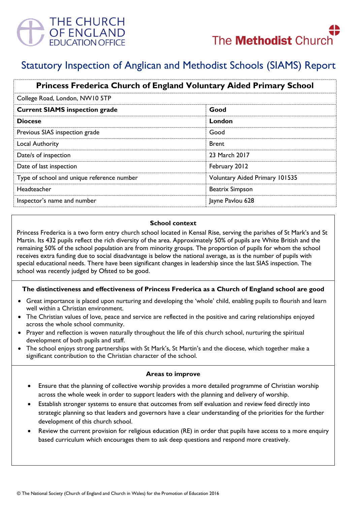

# Statutory Inspection of Anglican and Methodist Schools (SIAMS) Report

| <b>Princess Frederica Church of England Voluntary Aided Primary School</b> |                                       |
|----------------------------------------------------------------------------|---------------------------------------|
| College Road, London, NW10 5TP                                             |                                       |
| <b>Current SIAMS inspection grade</b>                                      | Good                                  |
| <b>Diocese</b>                                                             | London                                |
| Previous SIAS inspection grade                                             | Good                                  |
| <b>Local Authority</b>                                                     | <b>Brent</b>                          |
| Date/s of inspection                                                       | 23 March 2017                         |
| Date of last inspection                                                    | February 2012                         |
| Type of school and unique reference number                                 | <b>Voluntary Aided Primary 101535</b> |
| Headteacher                                                                | <b>Beatrix Simpson</b>                |
| Inspector's name and number                                                | Jayne Pavlou 628                      |

#### **School context**

Princess Frederica is a two form entry church school located in Kensal Rise, serving the parishes of St Mark's and St Martin. Its 432 pupils reflect the rich diversity of the area. Approximately 50% of pupils are White British and the remaining 50% of the school population are from minority groups. The proportion of pupils for whom the school receives extra funding due to social disadvantage is below the national average, as is the number of pupils with special educational needs. There have been significant changes in leadership since the last SIAS inspection. The school was recently judged by Ofsted to be good.

# **The distinctiveness and effectiveness of Princess Frederica as a Church of England school are good**

- Great importance is placed upon nurturing and developing the 'whole' child, enabling pupils to flourish and learn well within a Christian environment.
- The Christian values of love, peace and service are reflected in the positive and caring relationships enjoyed across the whole school community.
- Prayer and reflection is woven naturally throughout the life of this church school, nurturing the spiritual development of both pupils and staff.
- The school enjoys strong partnerships with St Mark's, St Martin's and the diocese, which together make a significant contribution to the Christian character of the school.

#### **Areas to improve**

- Ensure that the planning of collective worship provides a more detailed programme of Christian worship across the whole week in order to support leaders with the planning and delivery of worship.
- Establish stronger systems to ensure that outcomes from self evaluation and review feed directly into strategic planning so that leaders and governors have a clear understanding of the priorities for the further development of this church school.
- Review the current provision for religious education (RE) in order that pupils have access to a more enquiry based curriculum which encourages them to ask deep questions and respond more creatively.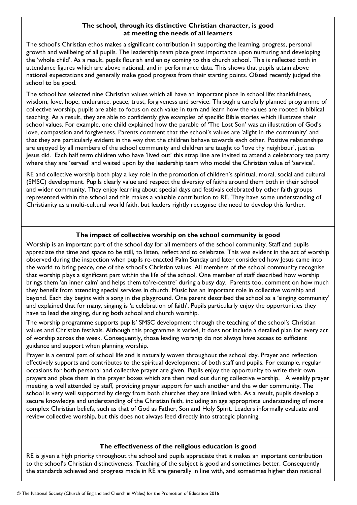# **The school, through its distinctive Christian character, is good at meeting the needs of all learners**

The school's Christian ethos makes a significant contribution in supporting the learning, progress, personal growth and wellbeing of all pupils. The leadership team place great importance upon nurturing and developing the 'whole child'. As a result, pupils flourish and enjoy coming to this church school. This is reflected both in attendance figures which are above national, and in performance data. This shows that pupils attain above national expectations and generally make good progress from their starting points. Ofsted recently judged the school to be good.

The school has selected nine Christian values which all have an important place in school life: thankfulness, wisdom, love, hope, endurance, peace, trust, forgiveness and service. Through a carefully planned programme of collective worship, pupils are able to focus on each value in turn and learn how the values are rooted in biblical teaching. As a result, they are able to confidently give examples of specific Bible stories which illustrate their school values. For example, one child explained how the parable of 'The Lost Son' was an illustration of God's love, compassion and forgiveness. Parents comment that the school's values are 'alight in the community' and that they are particularly evident in the way that the children behave towards each other. Positive relationships are enjoyed by all members of the school community and children are taught to 'love thy neighbour', just as Jesus did. Each half term children who have 'lived out' this strap line are invited to attend a celebratory tea party where they are 'served' and waited upon by the leadership team who model the Christian value of 'service'.

RE and collective worship both play a key role in the promotion of children's spiritual, moral, social and cultural (SMSC) development. Pupils clearly value and respect the diversity of faiths around them both in their school and wider community. They enjoy learning about special days and festivals celebrated by other faith groups represented within the school and this makes a valuable contribution to RE. They have some understanding of Christianity as a multi-cultural world faith, but leaders rightly recognise the need to develop this further.

# **The impact of collective worship on the school community is good**

Worship is an important part of the school day for all members of the school community. Staff and pupils appreciate the time and space to be still, to listen, reflect and to celebrate. This was evident in the act of worship observed during the inspection when pupils re-enacted Palm Sunday and later considered how Jesus came into the world to bring peace, one of the school's Christian values. All members of the school community recognise that worship plays a significant part within the life of the school. One member of staff described how worship brings them 'an inner calm' and helps them to're-centre' during a busy day. Parents too, comment on how much they benefit from attending special services in church. Music has an important role in collective worship and beyond. Each day begins with a song in the playground. One parent described the school as a 'singing community' and explained that for many, singing is 'a celebration of faith'. Pupils particularly enjoy the opportunities they have to lead the singing, during both school and church worship.

The worship programme supports pupils' SMSC development through the teaching of the school's Christian values and Christian festivals. Although this programme is varied, it does not include a detailed plan for every act of worship across the week. Consequently, those leading worship do not always have access to sufficient guidance and support when planning worship.

Prayer is a central part of school life and is naturally woven throughout the school day. Prayer and reflection effectively supports and contributes to the spiritual development of both staff and pupils. For example, regular occasions for both personal and collective prayer are given. Pupils enjoy the opportunity to write their own prayers and place them in the prayer boxes which are then read out during collective worship. A weekly prayer meeting is well attended by staff, providing prayer support for each another and the wider community. The school is very well supported by clergy from both churches they are linked with. As a result, pupils develop a secure knowledge and understanding of the Christian faith, including an age appropriate understanding of more complex Christian beliefs, such as that of God as Father, Son and Holy Spirit. Leaders informally evaluate and review collective worship, but this does not always feed directly into strategic planning.

# **The effectiveness of the religious education is good**

RE is given a high priority throughout the school and pupils appreciate that it makes an important contribution to the school's Christian distinctiveness. Teaching of the subject is good and sometimes better. Consequently the standards achieved and progress made in RE are generally in line with, and sometimes higher than national